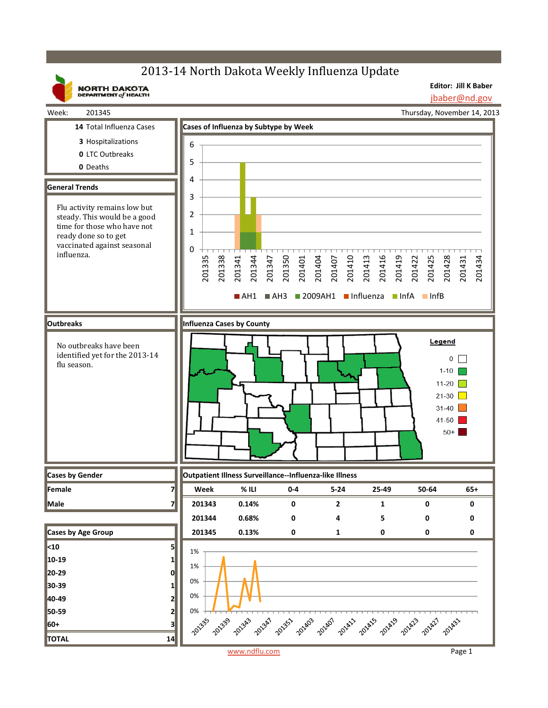## 2013-14 North Dakota Weekly Influenza Update

**Editor: Jill K Baber** jbaber@nd.gov